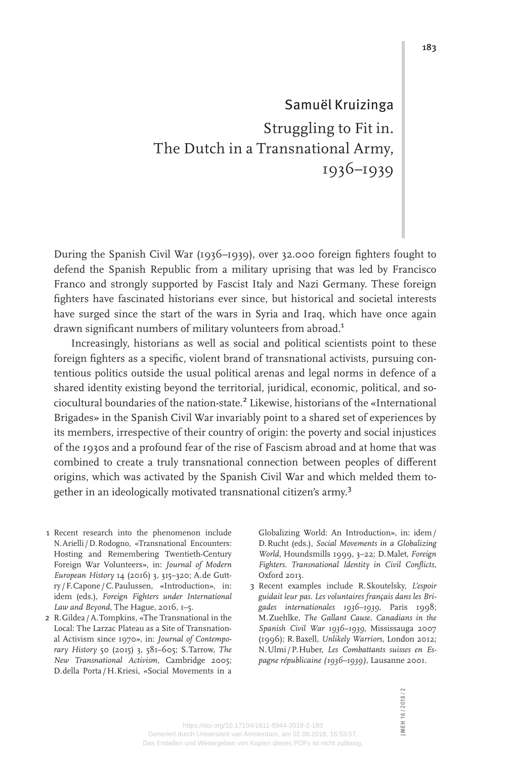# Samuël Kruizinga Struggling to Fit in. The Dutch in a Transnational Army, 1936–1939

During the Spanish Civil War (1936–1939), over 32.000 foreign fighters fought to defend the Spanish Republic from a military uprising that was led by Francisco Franco and strongly supported by Fascist Italy and Nazi Germany. These foreign fighters have fascinated historians ever since, but historical and societal interests have surged since the start of the wars in Syria and Iraq, which have once again drawn significant numbers of military volunteers from abroad.<sup>1</sup>

Increasingly, historians as well as social and political scientists point to these foreign fighters as a specific, violent brand of transnational activists, pursuing contentious politics outside the usual political arenas and legal norms in defence of a shared identity existing beyond the territorial, juridical, economic, political, and sociocultural boundaries of the nation-state.<sup>2</sup> Likewise, historians of the «International Brigades» in the Spanish Civil War invariably point to a shared set of experiences by its members, irrespective of their country of origin: the poverty and social injustices of the 1930s and a profound fear of the rise of Fascism abroad and at home that was combined to create a truly transnational connection between peoples of different origins, which was activated by the Spanish Civil War and which melded them together in an ideologically motivated transnational citizen's army.<sup>3</sup>

- 1 Recent research into the phenomenon include N. Arielli /D. Rodogno, «Transnational Encounters: Hosting and Remembering Twentieth-Century Foreign War Volunteers», in: *Journal of Modern European History* 14 (2016) 3, 315–320; A. de Guttry /F. Capone /C. Paulussen, «Introduction», in: idem (eds.), *Foreign Fighters under International Law and Beyond*, The Hague, 2016, 1–5.
- 2 R. Gildea /A. Tompkins, «The Transnational in the Local: The Larzac Plateau as a Site of Transnational Activism since 1970», in: *Journal of Contemporary History* 50 (2015) 3, 581–605; S. Tarrow, *The New Transnational Activism*, Cambridge 2005; D. della Porta /H. Kriesi, «Social Movements in a

Globalizing World: An Introduction», in: idem/ D. Rucht (eds.), *Social Movements in a Globalizing World*, Houndsmills 1999, 3–22; D. Malet, *Foreign Fighters. Transnational Identity in Civil Conflicts*, Oxford 2013.

3 Recent examples include R. Skoutelsky, *L'espoir guidait leur pas. Les voluntaires français dans les Brigades internationales 1936–1939*, Paris 1998; M. Zuehlke, *The Gallant Cause. Canadians in the Spanish Civil War 1936–1939*, Mississauga 2007 (1996); R. Baxell, *Unlikely Warriors*, London 2012; N. Ulmi /P. Huber, *Les Combattants suisses en Espagne républicaine (1936–1939)*, Lausanne 2001.

**JMEH 16 / 2018 / 2**

JMEH 16 / 2018 / 2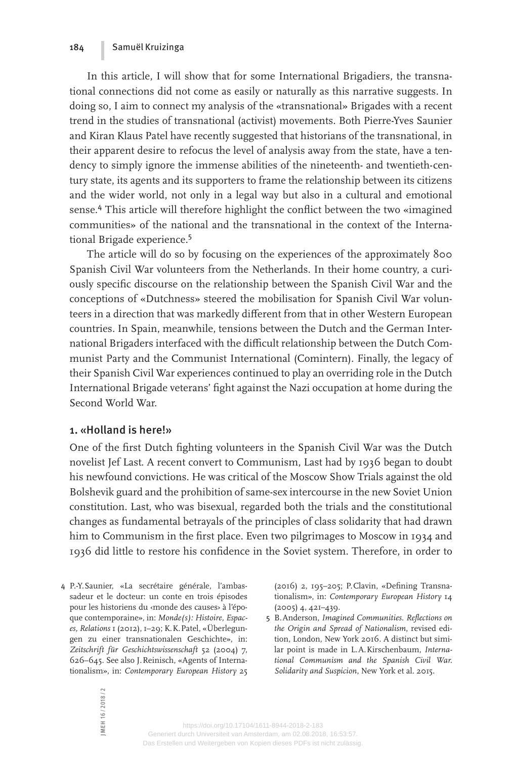In this article, I will show that for some International Brigadiers, the transnational connections did not come as easily or naturally as this narrative suggests. In doing so, I aim to connect my analysis of the «transnational» Brigades with a recent trend in the studies of transnational (activist) movements. Both Pierre-Yves Saunier and Kiran Klaus Patel have recently suggested that historians of the transnational, in their apparent desire to refocus the level of analysis away from the state, have a tendency to simply ignore the immense abilities of the nineteenth- and twentieth-century state, its agents and its supporters to frame the relationship between its citizens and the wider world, not only in a legal way but also in a cultural and emotional sense.<sup>4</sup> This article will therefore highlight the conflict between the two «imagined communities» of the national and the transnational in the context of the International Brigade experience.<sup>5</sup>

The article will do so by focusing on the experiences of the approximately 800 Spanish Civil War volunteers from the Netherlands. In their home country, a curiously specific discourse on the relationship between the Spanish Civil War and the conceptions of «Dutchness» steered the mobilisation for Spanish Civil War volunteers in a direction that was markedly different from that in other Western European countries. In Spain, meanwhile, tensions between the Dutch and the German International Brigaders interfaced with the difficult relationship between the Dutch Communist Party and the Communist International (Comintern). Finally, the legacy of their Spanish Civil War experiences continued to play an overriding role in the Dutch International Brigade veterans' fight against the Nazi occupation at home during the Second World War.

## 1. «Holland is here!»

One of the first Dutch fighting volunteers in the Spanish Civil War was the Dutch novelist Jef Last. A recent convert to Communism, Last had by 1936 began to doubt his newfound convictions. He was critical of the Moscow Show Trials against the old Bolshevik guard and the prohibition of same-sex intercourse in the new Soviet Union constitution. Last, who was bisexual, regarded both the trials and the constitutional changes as fundamental betrayals of the principles of class solidarity that had drawn him to Communism in the first place. Even two pilgrimages to Moscow in 1934 and 1936 did little to restore his confidence in the Soviet system. Therefore, in order to

4 P.-Y. Saunier, «La secrétaire générale, l'ambassadeur et le docteur: un conte en trois épisodes pour les historiens du ‹monde des causes› à l'époque contemporaine», in: *Monde(s): Histoire, Espaces, Relations* 1 (2012), 1–29; K. K. Patel, «Überlegungen zu einer transnationalen Geschichte», in: *Zeitschrift für Geschichtswissenschaft* 52 (2004) 7, 626–645. See also J. Reinisch, «Agents of Internationalism», in: *Contemporary European History* 25 (2016) 2, 195–205; P. Clavin, «Defining Transnationalism», in: *Contemporary European History* 14 (2005) 4, 421–439.

5 B. Anderson, *Imagined Communities. Reflections on the Origin and Spread of Nationalism*, revised edition, London, New York 2016. A distinct but similar point is made in L. A. Kirschenbaum, *International Communism and the Spanish Civil War. Solidarity and Suspicion*, New York et al. 2015.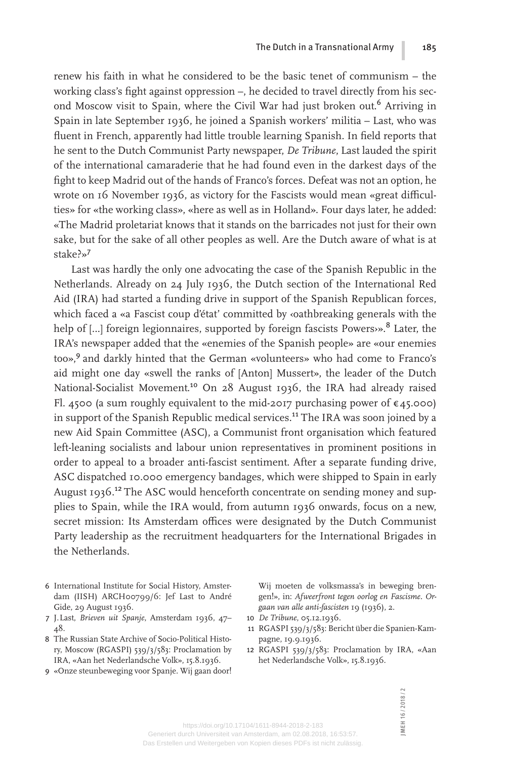renew his faith in what he considered to be the basic tenet of communism – the working class's fight against oppression –, he decided to travel directly from his second Moscow visit to Spain, where the Civil War had just broken out.<sup>6</sup> Arriving in Spain in late September 1936, he joined a Spanish workers' militia – Last, who was fluent in French, apparently had little trouble learning Spanish. In field reports that he sent to the Dutch Communist Party newspaper, *De Tribune*, Last lauded the spirit of the international camaraderie that he had found even in the darkest days of the fight to keep Madrid out of the hands of Franco's forces. Defeat was not an option, he wrote on 16 November 1936, as victory for the Fascists would mean «great difficulties» for «the working class», «here as well as in Holland». Four days later, he added: «The Madrid proletariat knows that it stands on the barricades not just for their own sake, but for the sake of all other peoples as well. Are the Dutch aware of what is at stake?»<sup>7</sup>

Last was hardly the only one advocating the case of the Spanish Republic in the Netherlands. Already on 24 July 1936, the Dutch section of the International Red Aid (IRA) had started a funding drive in support of the Spanish Republican forces, which faced a «a Fascist coup d'état' committed by ‹oathbreaking generals with the help of [...] foreign legionnaires, supported by foreign fascists Powers».<sup>8</sup> Later, the IRA's newspaper added that the «enemies of the Spanish people» are «our enemies too»,9 and darkly hinted that the German «volunteers» who had come to Franco's aid might one day «swell the ranks of [Anton] Mussert», the leader of the Dutch National-Socialist Movement.10 On 28 August 1936, the IRA had already raised Fl. 4500 (a sum roughly equivalent to the mid-2017 purchasing power of  $\epsilon$ 45.000) in support of the Spanish Republic medical services.<sup>11</sup> The IRA was soon joined by a new Aid Spain Committee (ASC), a Communist front organisation which featured left-leaning socialists and labour union representatives in prominent positions in order to appeal to a broader anti-fascist sentiment. After a separate funding drive, ASC dispatched 10.000 emergency bandages, which were shipped to Spain in early August 1936.<sup>12</sup> The ASC would henceforth concentrate on sending money and supplies to Spain, while the IRA would, from autumn 1936 onwards, focus on a new, secret mission: Its Amsterdam offices were designated by the Dutch Communist Party leadership as the recruitment headquarters for the International Brigades in the Netherlands.

- 6 International Institute for Social History, Amsterdam (IISH) ARCH00799/6: Jef Last to André Gide, 29 August 1936.
- 7 J. Last, *Brieven uit Spanje*, Amsterdam 1936, 47– 48.
- 8 The Russian State Archive of Socio-Political History, Moscow (RGASPI) 539/3/583: Proclamation by IRA, «Aan het Nederlandsche Volk», 15.8.1936.
- 9 «Onze steunbeweging voor Spanje. Wij gaan door!

Wij moeten de volksmassa's in beweging brengen!», in: *Afweerfront tegen oorlog en Fascisme. Orgaan van alle anti-fascisten* 19 (1936), 2.

- 10 *De Tribune*, 05.12.1936.
- 11 RGASPI 539/3/583: Bericht über die Spanien-Kampagne, 19.9.1936.
- 12 RGASPI 539/3/583: Proclamation by IRA, «Aan het Nederlandsche Volk», 15.8.1936.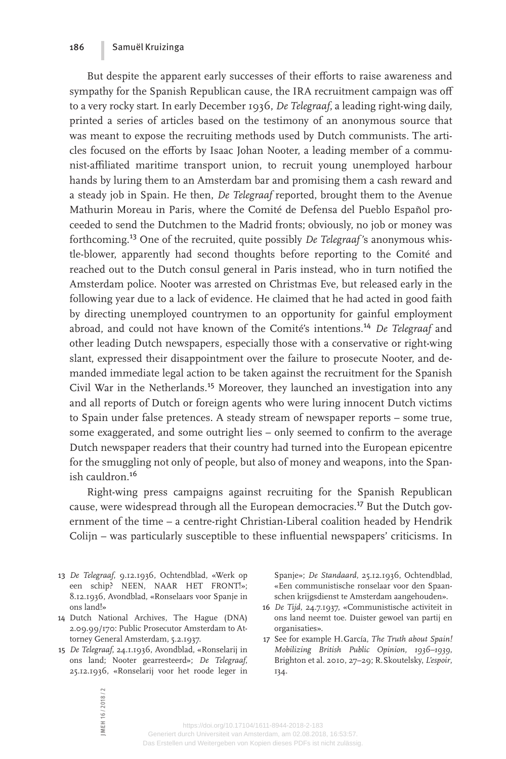But despite the apparent early successes of their efforts to raise awareness and sympathy for the Spanish Republican cause, the IRA recruitment campaign was off to a very rocky start. In early December 1936, *De Telegraaf*, a leading right-wing daily, printed a series of articles based on the testimony of an anonymous source that was meant to expose the recruiting methods used by Dutch communists. The articles focused on the efforts by Isaac Johan Nooter, a leading member of a communist-affiliated maritime transport union, to recruit young unemployed harbour hands by luring them to an Amsterdam bar and promising them a cash reward and a steady job in Spain. He then, *De Telegraaf* reported, brought them to the Avenue Mathurin Moreau in Paris, where the Comité de Defensa del Pueblo Español proceeded to send the Dutchmen to the Madrid fronts; obviously, no job or money was forthcoming.13 One of the recruited, quite possibly *De Telegraaf '*s anonymous whistle-blower, apparently had second thoughts before reporting to the Comité and reached out to the Dutch consul general in Paris instead, who in turn notified the Amsterdam police. Nooter was arrested on Christmas Eve, but released early in the following year due to a lack of evidence. He claimed that he had acted in good faith by directing unemployed countrymen to an opportunity for gainful employment abroad, and could not have known of the Comité's intentions.<sup>14</sup> *De Telegraaf* and other leading Dutch newspapers, especially those with a conservative or right-wing slant, expressed their disappointment over the failure to prosecute Nooter, and demanded immediate legal action to be taken against the recruitment for the Spanish Civil War in the Netherlands.15 Moreover, they launched an investigation into any and all reports of Dutch or foreign agents who were luring innocent Dutch victims to Spain under false pretences. A steady stream of newspaper reports – some true, some exaggerated, and some outright lies – only seemed to confirm to the average Dutch newspaper readers that their country had turned into the European epicentre for the smuggling not only of people, but also of money and weapons, into the Spanish cauldron.<sup>16</sup>

Right-wing press campaigns against recruiting for the Spanish Republican cause, were widespread through all the European democracies.<sup>17</sup> But the Dutch government of the time – a centre-right Christian-Liberal coalition headed by Hendrik Colijn – was particularly susceptible to these influential newspapers' criticisms. In

- 13 *De Telegraaf*, 9.12.1936, Ochtendblad, «Werk op een schip? NEEN, NAAR HET FRONT!»; 8.12.1936, Avondblad, «Ronselaars voor Spanje in ons land!»
- 14 Dutch National Archives, The Hague (DNA) 2.09.99/170: Public Prosecutor Amsterdam to Attorney General Amsterdam, 5.2.1937.
- 15 *De Telegraaf*, 24.1.1936, Avondblad, «Ronselarij in ons land; Nooter gearresteerd»; *De Telegraaf*, 25.12.1936, «Ronselarij voor het roode leger in

**JMEH 16 / 2018 / 2**

IMEH 16 / 2018 / 2

Spanje»; *De Standaard*, 25.12.1936, Ochtendblad, «Een communistische ronselaar voor den Spaanschen krijgsdienst te Amsterdam aangehouden».

- 16 *De Tijd*, 24.7.1937, «Communistische activiteit in ons land neemt toe. Duister gewoel van partij en organisaties».
- 17 See for example H. García, *The Truth about Spain! Mobilizing British Public Opinion, 1936–1939*, Brighton et al. 2010, 27–29; R. Skoutelsky, *L'espoir*, 134.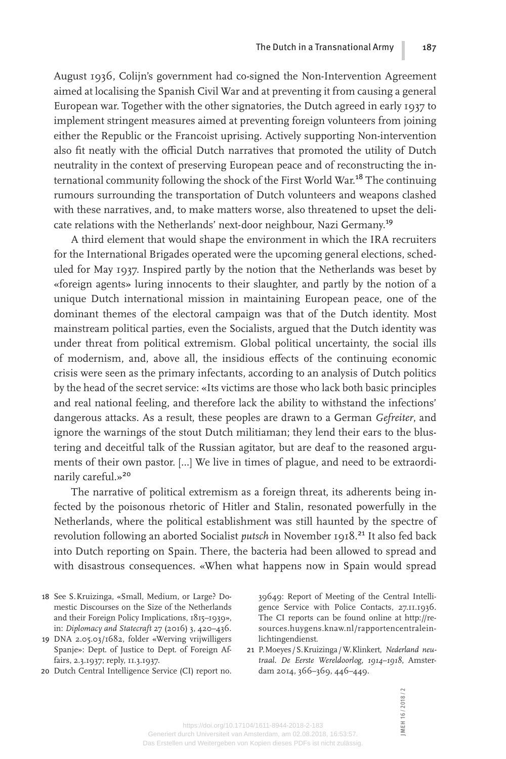August 1936, Colijn's government had co-signed the Non-Intervention Agreement aimed at localising the Spanish Civil War and at preventing it from causing a general European war. Together with the other signatories, the Dutch agreed in early 1937 to implement stringent measures aimed at preventing foreign volunteers from joining either the Republic or the Francoist uprising. Actively supporting Non-intervention also fit neatly with the official Dutch narratives that promoted the utility of Dutch neutrality in the context of preserving European peace and of reconstructing the international community following the shock of the First World War.<sup>18</sup> The continuing rumours surrounding the transportation of Dutch volunteers and weapons clashed with these narratives, and, to make matters worse, also threatened to upset the delicate relations with the Netherlands' next-door neighbour, Nazi Germany.<sup>19</sup>

A third element that would shape the environment in which the IRA recruiters for the International Brigades operated were the upcoming general elections, scheduled for May 1937. Inspired partly by the notion that the Netherlands was beset by «foreign agents» luring innocents to their slaughter, and partly by the notion of a unique Dutch international mission in maintaining European peace, one of the dominant themes of the electoral campaign was that of the Dutch identity. Most mainstream political parties, even the Socialists, argued that the Dutch identity was under threat from political extremism. Global political uncertainty, the social ills of modernism, and, above all, the insidious effects of the continuing economic crisis were seen as the primary infectants, according to an analysis of Dutch politics by the head of the secret service: «Its victims are those who lack both basic principles and real national feeling, and therefore lack the ability to withstand the infections' dangerous attacks. As a result, these peoples are drawn to a German *Gefreiter*, and ignore the warnings of the stout Dutch militiaman; they lend their ears to the blustering and deceitful talk of the Russian agitator, but are deaf to the reasoned arguments of their own pastor. […] We live in times of plague, and need to be extraordinarily careful.»<sup>20</sup>

The narrative of political extremism as a foreign threat, its adherents being infected by the poisonous rhetoric of Hitler and Stalin, resonated powerfully in the Netherlands, where the political establishment was still haunted by the spectre of revolution following an aborted Socialist *putsch* in November 1918.<sup>21</sup> It also fed back into Dutch reporting on Spain. There, the bacteria had been allowed to spread and with disastrous consequences. «When what happens now in Spain would spread

- 18 See S. Kruizinga, «Small, Medium, or Large? Domestic Discourses on the Size of the Netherlands and their Foreign Policy Implications, 1815–1939», in: *Diplomacy and Statecraft* 27 (2016) 3, 420–436.
- 19 DNA 2.05.03/1682, folder «Werving vrijwilligers Spanje»: Dept. of Justice to Dept. of Foreign Affairs, 2.3.1937; reply, 11.3.1937.
- 20 Dutch Central Intelligence Service (CI) report no.

39649: Report of Meeting of the Central Intelligence Service with Police Contacts, 27.11.1936. The CI reports can be found online at http://resources.huygens.knaw.nl/rapportencentraleinlichtingendienst.

21 P. Moeyes /S. Kruizinga/W. Klinkert, *Nederland neutraal. De Eerste Wereldoorlog, 1914–1918*, Amsterdam 2014, 366–369, 446–449.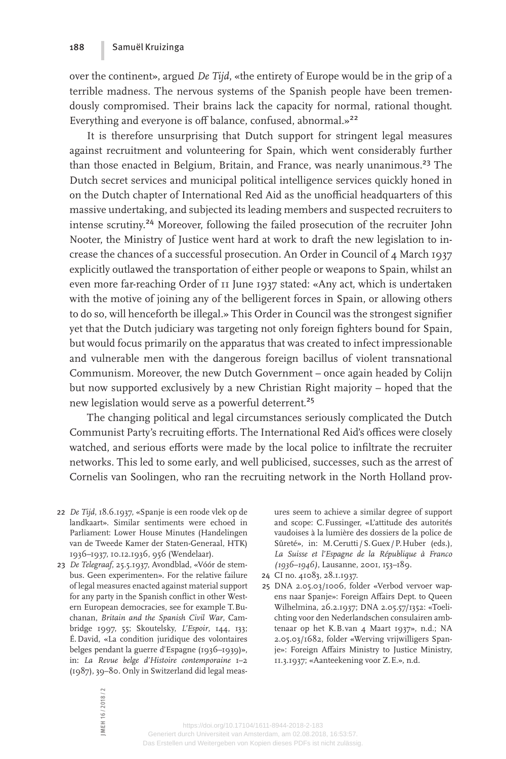over the continent», argued *De Tijd*, «the entirety of Europe would be in the grip of a terrible madness. The nervous systems of the Spanish people have been tremendously compromised. Their brains lack the capacity for normal, rational thought. Everything and everyone is off balance, confused, abnormal.»<sup>22</sup>

It is therefore unsurprising that Dutch support for stringent legal measures against recruitment and volunteering for Spain, which went considerably further than those enacted in Belgium, Britain, and France, was nearly unanimous.<sup>23</sup> The Dutch secret services and municipal political intelligence services quickly honed in on the Dutch chapter of International Red Aid as the unofficial headquarters of this massive undertaking, and subjected its leading members and suspected recruiters to intense scrutiny.<sup>24</sup> Moreover, following the failed prosecution of the recruiter John Nooter, the Ministry of Justice went hard at work to draft the new legislation to increase the chances of a successful prosecution. An Order in Council of 4 March 1937 explicitly outlawed the transportation of either people or weapons to Spain, whilst an even more far-reaching Order of 11 June 1937 stated: «Any act, which is undertaken with the motive of joining any of the belligerent forces in Spain, or allowing others to do so, will henceforth be illegal.» This Order in Council was the strongest signifier yet that the Dutch judiciary was targeting not only foreign fighters bound for Spain, but would focus primarily on the apparatus that was created to infect impressionable and vulnerable men with the dangerous foreign bacillus of violent transnational Communism. Moreover, the new Dutch Government – once again headed by Colijn but now supported exclusively by a new Christian Right majority – hoped that the new legislation would serve as a powerful deterrent.<sup>25</sup>

The changing political and legal circumstances seriously complicated the Dutch Communist Party's recruiting efforts. The International Red Aid's offices were closely watched, and serious efforts were made by the local police to infiltrate the recruiter networks. This led to some early, and well publicised, successes, such as the arrest of Cornelis van Soolingen, who ran the recruiting network in the North Holland prov-

- 22 *De Tijd*, 18.6.1937, «Spanje is een roode vlek op de landkaart». Similar sentiments were echoed in Parliament: Lower House Minutes (Handelingen van de Tweede Kamer der Staten-Generaal, HTK) 1936–1937, 10.12.1936, 956 (Wendelaar).
- 23 *De Telegraaf*, 25.5.1937, Avondblad, «Vóór de stembus. Geen experimenten». For the relative failure of legal measures enacted against material support for any party in the Spanish conflict in other Western European democracies, see for example T. Buchanan, *Britain and the Spanish Civil War*, Cambridge 1997, 55; Skoutelsky, *L'Espoir*, 144, 133; É.David, «La condition juridique des volontaires belges pendant la guerre d'Espagne (1936–1939)», in: *La Revue belge d'Histoire contemporaine* 1–2 (1987), 39–80. Only in Switzerland did legal meas-

ures seem to achieve a similar degree of support and scope: C. Fussinger, «L'attitude des autorités vaudoises à la lumière des dossiers de la police de Sûreté», in: M. Cerutti / S. Guex / P. Huber (eds.), *La Suisse et l'Espagne de la République à Franco (1936–1946)*, Lausanne, 2001, 153–189.

- 24 CI no. 41083, 28.1.1937.
- 25 DNA 2.05.03/1006, folder «Verbod vervoer wapens naar Spanje»: Foreign Affairs Dept. to Queen Wilhelmina, 26.2.1937; DNA 2.05.57/1352: «Toelichting voor den Nederlandschen consulairen ambtenaar op het K. B. van 4 Maart 1937», n.d.; NA 2.05.03/1682, folder «Werving vrijwilligers Spanje»: Foreign Affairs Ministry to Justice Ministry, 11.3.1937; «Aanteekening voor Z. E.», n.d.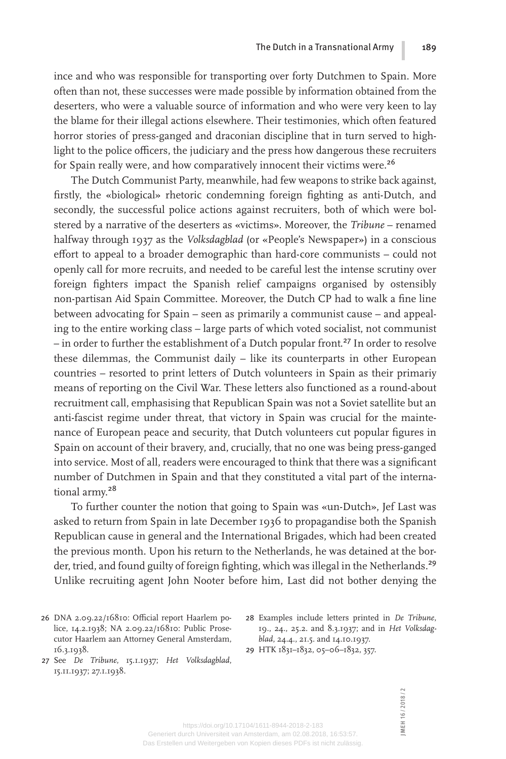ince and who was responsible for transporting over forty Dutchmen to Spain. More often than not, these successes were made possible by information obtained from the deserters, who were a valuable source of information and who were very keen to lay the blame for their illegal actions elsewhere. Their testimonies, which often featured horror stories of press-ganged and draconian discipline that in turn served to highlight to the police officers, the judiciary and the press how dangerous these recruiters for Spain really were, and how comparatively innocent their victims were.<sup>26</sup>

The Dutch Communist Party, meanwhile, had few weapons to strike back against, firstly, the «biological» rhetoric condemning foreign fighting as anti-Dutch, and secondly, the successful police actions against recruiters, both of which were bolstered by a narrative of the deserters as «victims». Moreover, the *Tribune* – renamed halfway through 1937 as the *Volksdagblad* (or «People's Newspaper») in a conscious effort to appeal to a broader demographic than hard-core communists – could not openly call for more recruits, and needed to be careful lest the intense scrutiny over foreign fighters impact the Spanish relief campaigns organised by ostensibly non-partisan Aid Spain Committee. Moreover, the Dutch CP had to walk a fine line between advocating for Spain – seen as primarily a communist cause – and appealing to the entire working class – large parts of which voted socialist, not communist – in order to further the establishment of a Dutch popular front.<sup>27</sup> In order to resolve these dilemmas, the Communist daily – like its counterparts in other European countries – resorted to print letters of Dutch volunteers in Spain as their primariy means of reporting on the Civil War. These letters also functioned as a round-about recruitment call, emphasising that Republican Spain was not a Soviet satellite but an anti-fascist regime under threat, that victory in Spain was crucial for the maintenance of European peace and security, that Dutch volunteers cut popular figures in Spain on account of their bravery, and, crucially, that no one was being press-ganged into service. Most of all, readers were encouraged to think that there was a significant number of Dutchmen in Spain and that they constituted a vital part of the international army.<sup>28</sup>

To further counter the notion that going to Spain was «un-Dutch», Jef Last was asked to return from Spain in late December 1936 to propagandise both the Spanish Republican cause in general and the International Brigades, which had been created the previous month. Upon his return to the Netherlands, he was detained at the border, tried, and found guilty of foreign fighting, which was illegal in the Netherlands.<sup>29</sup> Unlike recruiting agent John Nooter before him, Last did not bother denying the

26 DNA 2.09.22/16810: Official report Haarlem police, 14.2.1938; NA 2.09.22/16810: Public Prosecutor Haarlem aan Attorney General Amsterdam, 16.3.1938.

- 28 Examples include letters printed in *De Tribune*, 19., 24., 25.2. and 8.3.1937; and in *Het Volksdagblad*, 24.4., 21.5. and 14.10.1937.
- 29 HTK 1831–1832, 05–06–1832, 357.

<sup>27</sup> See *De Tribune*, 15.1.1937; *Het Volksdagblad*, 15.11.1937; 27.1.1938.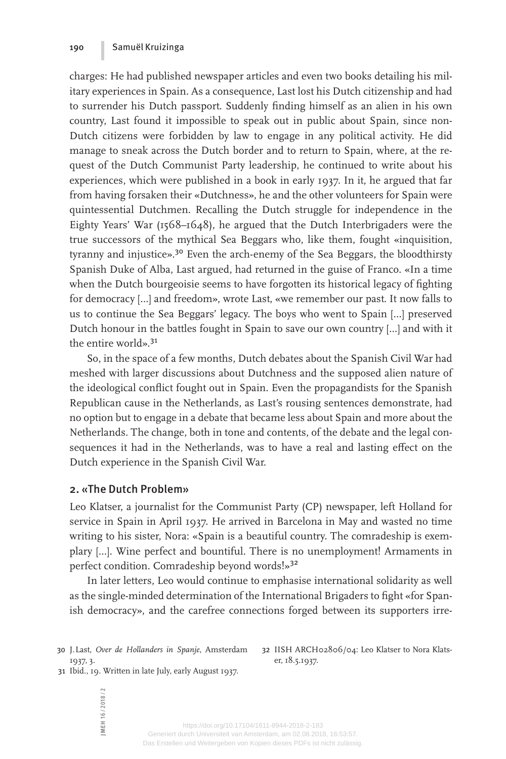charges: He had published newspaper articles and even two books detailing his military experiences in Spain. As a consequence, Last lost his Dutch citizenship and had to surrender his Dutch passport. Suddenly finding himself as an alien in his own country, Last found it impossible to speak out in public about Spain, since non-Dutch citizens were forbidden by law to engage in any political activity. He did manage to sneak across the Dutch border and to return to Spain, where, at the request of the Dutch Communist Party leadership, he continued to write about his experiences, which were published in a book in early 1937. In it, he argued that far from having forsaken their «Dutchness», he and the other volunteers for Spain were quintessential Dutchmen. Recalling the Dutch struggle for independence in the Eighty Years' War (1568–1648), he argued that the Dutch Interbrigaders were the true successors of the mythical Sea Beggars who, like them, fought «inquisition, tyranny and injustice».<sup>30</sup> Even the arch-enemy of the Sea Beggars, the bloodthirsty Spanish Duke of Alba, Last argued, had returned in the guise of Franco. «In a time when the Dutch bourgeoisie seems to have forgotten its historical legacy of fighting for democracy […] and freedom», wrote Last, «we remember our past. It now falls to us to continue the Sea Beggars' legacy. The boys who went to Spain […] preserved Dutch honour in the battles fought in Spain to save our own country […] and with it the entire world».<sup>31</sup>

So, in the space of a few months, Dutch debates about the Spanish Civil War had meshed with larger discussions about Dutchness and the supposed alien nature of the ideological conflict fought out in Spain. Even the propagandists for the Spanish Republican cause in the Netherlands, as Last's rousing sentences demonstrate, had no option but to engage in a debate that became less about Spain and more about the Netherlands. The change, both in tone and contents, of the debate and the legal consequences it had in the Netherlands, was to have a real and lasting effect on the Dutch experience in the Spanish Civil War.

#### 2. «The Dutch Problem»

Leo Klatser, a journalist for the Communist Party (CP) newspaper, left Holland for service in Spain in April 1937. He arrived in Barcelona in May and wasted no time writing to his sister, Nora: «Spain is a beautiful country. The comradeship is exemplary [...]. Wine perfect and bountiful. There is no unemployment! Armaments in perfect condition. Comradeship beyond words!»<sup>32</sup>

In later letters, Leo would continue to emphasise international solidarity as well as the single-minded determination of the International Brigaders to fight «for Spanish democracy», and the carefree connections forged between its supporters irre-

- 32 IISH ARCH02806/04: Leo Klatser to Nora Klatser, 18.5.1937.
- 31 Ibid., 19. Written in late July, early August 1937.

<sup>30</sup> J. Last, *Over de Hollanders in Spanje*, Amsterdam 1937, 3.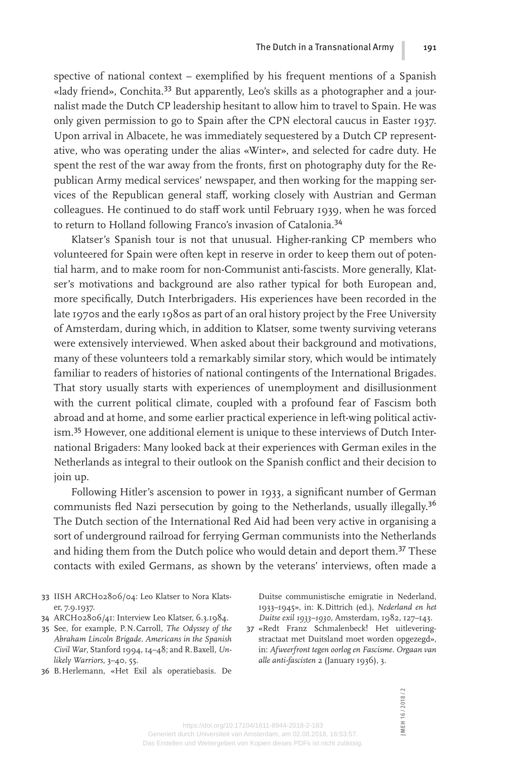spective of national context – exemplified by his frequent mentions of a Spanish «lady friend», Conchita.<sup>33</sup> But apparently, Leo's skills as a photographer and a journalist made the Dutch CP leadership hesitant to allow him to travel to Spain. He was only given permission to go to Spain after the CPN electoral caucus in Easter 1937. Upon arrival in Albacete, he was immediately sequestered by a Dutch CP representative, who was operating under the alias «Winter», and selected for cadre duty. He spent the rest of the war away from the fronts, first on photography duty for the Republican Army medical services' newspaper, and then working for the mapping services of the Republican general staff, working closely with Austrian and German colleagues. He continued to do staff work until February 1939, when he was forced to return to Holland following Franco's invasion of Catalonia.<sup>34</sup>

Klatser's Spanish tour is not that unusual. Higher-ranking CP members who volunteered for Spain were often kept in reserve in order to keep them out of potential harm, and to make room for non-Communist anti-fascists. More generally, Klatser's motivations and background are also rather typical for both European and, more specifically, Dutch Interbrigaders. His experiences have been recorded in the late 1970s and the early 1980s as part of an oral history project by the Free University of Amsterdam, during which, in addition to Klatser, some twenty surviving veterans were extensively interviewed. When asked about their background and motivations, many of these volunteers told a remarkably similar story, which would be intimately familiar to readers of histories of national contingents of the International Brigades. That story usually starts with experiences of unemployment and disillusionment with the current political climate, coupled with a profound fear of Fascism both abroad and at home, and some earlier practical experience in left-wing political activism.<sup>35</sup> However, one additional element is unique to these interviews of Dutch International Brigaders: Many looked back at their experiences with German exiles in the Netherlands as integral to their outlook on the Spanish conflict and their decision to join up.

Following Hitler's ascension to power in 1933, a significant number of German communists fled Nazi persecution by going to the Netherlands, usually illegally.<sup>36</sup> The Dutch section of the International Red Aid had been very active in organising a sort of underground railroad for ferrying German communists into the Netherlands and hiding them from the Dutch police who would detain and deport them.<sup>37</sup> These contacts with exiled Germans, as shown by the veterans' interviews, often made a

- 33 IISH ARCH02806/04: Leo Klatser to Nora Klatser, 7.9.1937.
- 34 ARCH02806/41: Interview Leo Klatser, 6.3.1984.
- 35 See, for example, P. N. Carroll, *The Odyssey of the Abraham Lincoln Brigade. Americans in the Spanish Civil War*, Stanford 1994, 14–48; and R. Baxell, *Unlikely Warriors*, 3–40, 55.
- 36 B. Herlemann, «Het Exil als operatiebasis. De

Duitse communistische emigratie in Nederland, 1933–1945», in: K. Dittrich (ed.), *Nederland en het Duitse exil 1933–1930*, Amsterdam, 1982, 127–143.

37 «Redt Franz Schmalenbeck! Het uitleveringstractaat met Duitsland moet worden opgezegd», in: *Afweerfront tegen oorlog en Fascisme. Orgaan van alle anti-fascisten* 2 (January 1936), 3.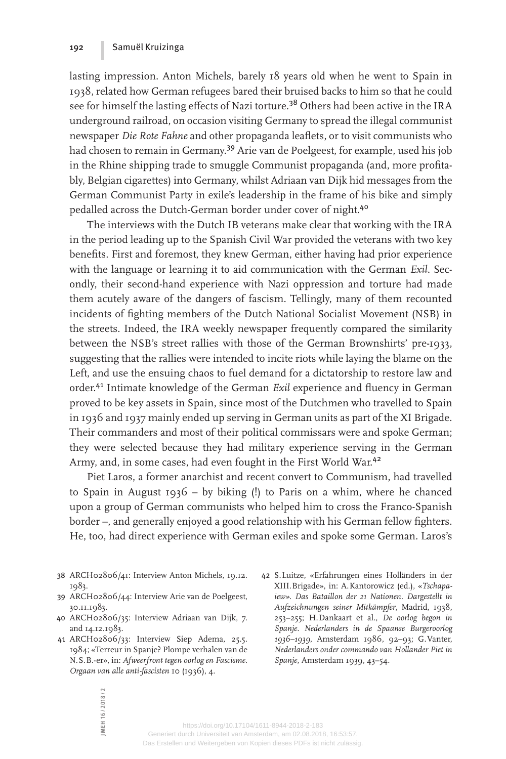lasting impression. Anton Michels, barely 18 years old when he went to Spain in 1938, related how German refugees bared their bruised backs to him so that he could see for himself the lasting effects of Nazi torture.<sup>38</sup> Others had been active in the IRA underground railroad, on occasion visiting Germany to spread the illegal communist newspaper *Die Rote Fahne* and other propaganda leaflets, or to visit communists who had chosen to remain in Germany.<sup>39</sup> Arie van de Poelgeest, for example, used his job in the Rhine shipping trade to smuggle Communist propaganda (and, more profitably, Belgian cigarettes) into Germany, whilst Adriaan van Dijk hid messages from the German Communist Party in exile's leadership in the frame of his bike and simply pedalled across the Dutch-German border under cover of night.<sup>40</sup>

The interviews with the Dutch IB veterans make clear that working with the IRA in the period leading up to the Spanish Civil War provided the veterans with two key benefits. First and foremost, they knew German, either having had prior experience with the language or learning it to aid communication with the German *Exil*. Secondly, their second-hand experience with Nazi oppression and torture had made them acutely aware of the dangers of fascism. Tellingly, many of them recounted incidents of fighting members of the Dutch National Socialist Movement (NSB) in the streets. Indeed, the IRA weekly newspaper frequently compared the similarity between the NSB's street rallies with those of the German Brownshirts' pre-1933, suggesting that the rallies were intended to incite riots while laying the blame on the Left, and use the ensuing chaos to fuel demand for a dictatorship to restore law and order.41 Intimate knowledge of the German *Exil* experience and fluency in German proved to be key assets in Spain, since most of the Dutchmen who travelled to Spain in 1936 and 1937 mainly ended up serving in German units as part of the XI Brigade. Their commanders and most of their political commissars were and spoke German; they were selected because they had military experience serving in the German Army, and, in some cases, had even fought in the First World War.<sup>42</sup>

Piet Laros, a former anarchist and recent convert to Communism, had travelled to Spain in August 1936 – by biking (!) to Paris on a whim, where he chanced upon a group of German communists who helped him to cross the Franco-Spanish border –, and generally enjoyed a good relationship with his German fellow fighters. He, too, had direct experience with German exiles and spoke some German. Laros's

- 38 ARCH02806/41: Interview Anton Michels, 19.12. 1983.
- 39 ARCH02806/44: Interview Arie van de Poelgeest, 30.11.1983.
- 40 ARCH02806/35: Interview Adriaan van Dijk, 7. and 14.12.1983.
- 41 ARCH02806/33: Interview Siep Adema, 25.5. 1984; «Terreur in Spanje? Plompe verhalen van de N. S. B.-er», in: *Afweerfront tegen oorlog en Fascisme. Orgaan van alle anti-fascisten* 10 (1936), 4.
- 42 S. Luitze, «Erfahrungen eines Holländers in der XIII. Brigade», in: A. Kantorowicz (ed.), «*Tschapaiew». Das Bataillon der 21 Nationen. Dargestellt in Aufzeichnungen seiner Mitkämpfer*, Madrid, 1938, 253–255; H. Dankaart et al., *De oorlog begon in Spanje. Nederlanders in de Spaanse Burgeroorlog 1936–1939*, Amsterdam 1986, 92–93; G. Vanter, *Nederlanders onder commando van Hollander Piet in Spanje*, Amsterdam 1939, 43–54.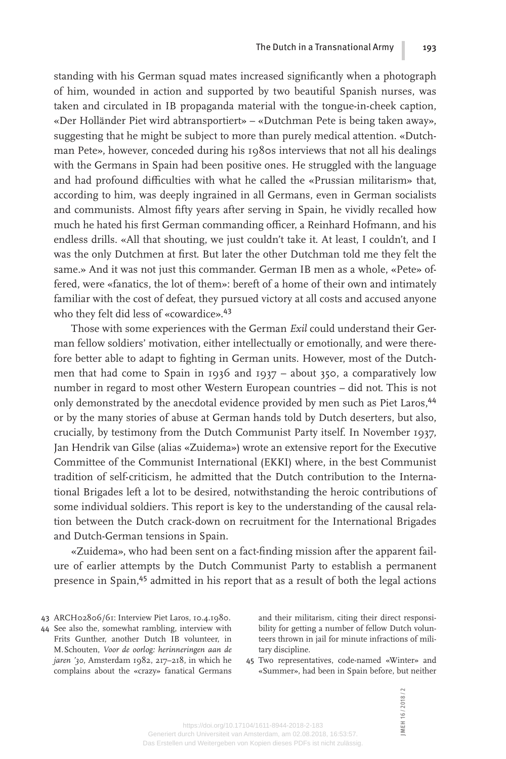standing with his German squad mates increased significantly when a photograph of him, wounded in action and supported by two beautiful Spanish nurses, was taken and circulated in IB propaganda material with the tongue-in-cheek caption, «Der Holländer Piet wird abtransportiert» – «Dutchman Pete is being taken away», suggesting that he might be subject to more than purely medical attention. «Dutchman Pete», however, conceded during his 1980s interviews that not all his dealings with the Germans in Spain had been positive ones. He struggled with the language and had profound difficulties with what he called the «Prussian militarism» that, according to him, was deeply ingrained in all Germans, even in German socialists and communists. Almost fifty years after serving in Spain, he vividly recalled how much he hated his first German commanding officer, a Reinhard Hofmann, and his endless drills. «All that shouting, we just couldn't take it. At least, I couldn't, and I was the only Dutchmen at first. But later the other Dutchman told me they felt the same.» And it was not just this commander. German IB men as a whole, «Pete» offered, were «fanatics, the lot of them»: bereft of a home of their own and intimately familiar with the cost of defeat, they pursued victory at all costs and accused anyone who they felt did less of «cowardice».<sup>43</sup>

Those with some experiences with the German *Exil* could understand their German fellow soldiers' motivation, either intellectually or emotionally, and were therefore better able to adapt to fighting in German units. However, most of the Dutchmen that had come to Spain in 1936 and 1937 – about 350, a comparatively low number in regard to most other Western European countries – did not. This is not only demonstrated by the anecdotal evidence provided by men such as Piet Laros, <sup>44</sup> or by the many stories of abuse at German hands told by Dutch deserters, but also, crucially, by testimony from the Dutch Communist Party itself. In November 1937, Jan Hendrik van Gilse (alias «Zuidema») wrote an extensive report for the Executive Committee of the Communist International (EKKI) where, in the best Communist tradition of self-criticism, he admitted that the Dutch contribution to the International Brigades left a lot to be desired, notwithstanding the heroic contributions of some individual soldiers. This report is key to the understanding of the causal relation between the Dutch crack-down on recruitment for the International Brigades and Dutch-German tensions in Spain.

«Zuidema», who had been sent on a fact-finding mission after the apparent failure of earlier attempts by the Dutch Communist Party to establish a permanent presence in Spain,<sup>45</sup> admitted in his report that as a result of both the legal actions

44 See also the, somewhat rambling, interview with Frits Gunther, another Dutch IB volunteer, in M. Schouten, *Voor de oorlog: herinneringen aan de jaren '30*, Amsterdam 1982, 217–218, in which he complains about the «crazy» fanatical Germans and their militarism, citing their direct responsibility for getting a number of fellow Dutch volunteers thrown in jail for minute infractions of military discipline.

45 Two representatives, code-named «Winter» and «Summer», had been in Spain before, but neither

<sup>43</sup> ARCH02806/61: Interview Piet Laros, 10.4.1980.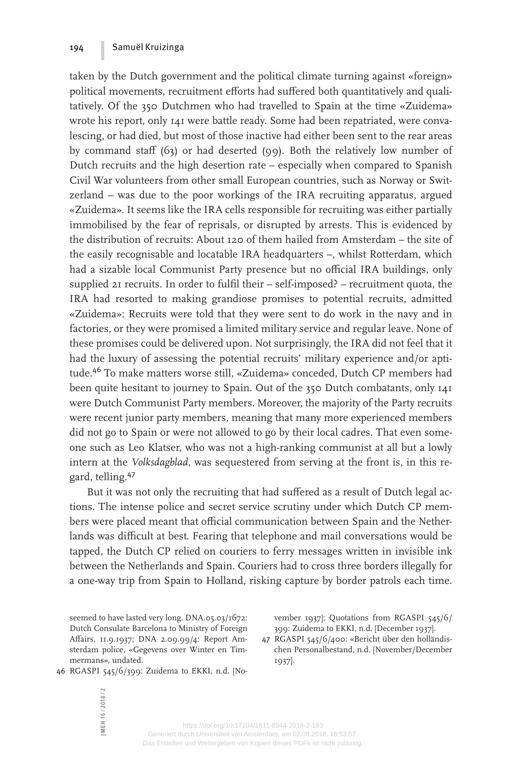taken by the Dutch government and the political climate turning against «foreign» political movements, recruitment efforts had suffered both quantitatively and qualitatively. Of the 350 Dutchmen who had travelled to Spain at the time «Zuidema» wrote his report, only 141 were battle ready. Some had been repatriated, were convalescing, or had died, but most of those inactive had either been sent to the rear areas by command staff  $(63)$  or had deserted  $(99)$ . Both the relatively low number of Dutch recruits and the high desertion rate – especially when compared to Spanish Civil War volunteers from other small European countries, such as Norway or Switzerland – was due to the poor workings of the IRA recruiting apparatus, argued «Zuidema». It seems like the IRA cells responsible for recruiting was either partially immobilised by the fear of reprisals, or disrupted by arrests. This is evidenced by the distribution of recruits: About 120 of them hailed from Amsterdam – the site of the easily recognisable and locatable IRA headquarters –, whilst Rotterdam, which had a sizable local Communist Party presence but no official IRA buildings, only supplied 21 recruits. In order to fulfil their – self-imposed? – recruitment quota, the IRA had resorted to making grandiose promises to potential recruits, admitted «Zuidema»: Recruits were told that they were sent to do work in the navy and in factories, or they were promised a limited military service and regular leave. None of these promises could be delivered upon. Not surprisingly, the IRA did not feel that it had the luxury of assessing the potential recruits' military experience and/or aptitude.46 To make matters worse still, «Zuidema» conceded, Dutch CP members had been quite hesitant to journey to Spain. Out of the 350 Dutch combatants, only 141 were Dutch Communist Party members. Moreover, the majority of the Party recruits were recent junior party members, meaning that many more experienced members did not go to Spain or were not allowed to go by their local cadres. That even someone such as Leo Klatser, who was not a high-ranking communist at all but a lowly intern at the *Volksdagblad*, was sequestered from serving at the front is, in this regard, telling.<sup>47</sup>

But it was not only the recruiting that had suffered as a result of Dutch legal actions. The intense police and secret service scrutiny under which Dutch CP members were placed meant that official communication between Spain and the Netherlands was difficult at best. Fearing that telephone and mail conversations would be tapped, the Dutch CP relied on couriers to ferry messages written in invisible ink between the Netherlands and Spain. Couriers had to cross three borders illegally for a one-way trip from Spain to Holland, risking capture by border patrols each time.

seemed to have lasted very long. DNA.05.03/1672: Dutch Consulate Barcelona to Ministry of Foreign Affairs, 11.9.1937; DNA 2.09.99/4: Report Amsterdam police, «Gegevens over Winter en Timmermans», undated.

46 RGASPI 545/6/399: Zuidema to EKKI, n.d. [No-

**JMEH 16 / 2018 / 2**

MEH 16 / 2018 / 2

vember 1937]; Quotations from RGASPI 545/6/ 399: Zuidema to EKKI, n.d. [December 1937].

47 RGASPI 545/6/400: «Bericht über den holländischen Personalbestand, n.d. [November/December 1937].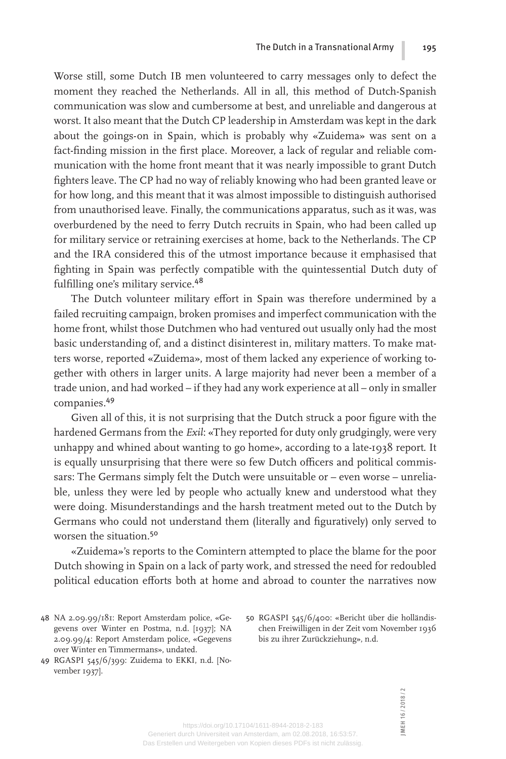Worse still, some Dutch IB men volunteered to carry messages only to defect the moment they reached the Netherlands. All in all, this method of Dutch-Spanish communication was slow and cumbersome at best, and unreliable and dangerous at worst. It also meant that the Dutch CP leadership in Amsterdam was kept in the dark about the goings-on in Spain, which is probably why «Zuidema» was sent on a fact-finding mission in the first place. Moreover, a lack of regular and reliable communication with the home front meant that it was nearly impossible to grant Dutch fighters leave. The CP had no way of reliably knowing who had been granted leave or for how long, and this meant that it was almost impossible to distinguish authorised from unauthorised leave. Finally, the communications apparatus, such as it was, was overburdened by the need to ferry Dutch recruits in Spain, who had been called up for military service or retraining exercises at home, back to the Netherlands. The CP and the IRA considered this of the utmost importance because it emphasised that fighting in Spain was perfectly compatible with the quintessential Dutch duty of fulfilling one's military service.<sup>48</sup>

The Dutch volunteer military effort in Spain was therefore undermined by a failed recruiting campaign, broken promises and imperfect communication with the home front, whilst those Dutchmen who had ventured out usually only had the most basic understanding of, and a distinct disinterest in, military matters. To make matters worse, reported «Zuidema», most of them lacked any experience of working together with others in larger units. A large majority had never been a member of a trade union, and had worked – if they had any work experience at all – only in smaller companies.<sup>49</sup>

Given all of this, it is not surprising that the Dutch struck a poor figure with the hardened Germans from the *Exil*: «They reported for duty only grudgingly, were very unhappy and whined about wanting to go home», according to a late-1938 report. It is equally unsurprising that there were so few Dutch officers and political commissars: The Germans simply felt the Dutch were unsuitable or – even worse – unreliable, unless they were led by people who actually knew and understood what they were doing. Misunderstandings and the harsh treatment meted out to the Dutch by Germans who could not understand them (literally and figuratively) only served to worsen the situation.<sup>50</sup>

«Zuidema»'s reports to the Comintern attempted to place the blame for the poor Dutch showing in Spain on a lack of party work, and stressed the need for redoubled political education efforts both at home and abroad to counter the narratives now

<sup>48</sup> NA 2.09.99/181: Report Amsterdam police, «Gegevens over Winter en Postma, n.d. [1937]; NA 2.09.99/4: Report Amsterdam police, «Gegevens over Winter en Timmermans», undated.

<sup>49</sup> RGASPI 545/6/399: Zuidema to EKKI, n.d. [November 1937].

<sup>50</sup> RGASPI 545/6/400: «Bericht über die holländischen Freiwilligen in der Zeit vom November 1936 bis zu ihrer Zurückziehung», n.d.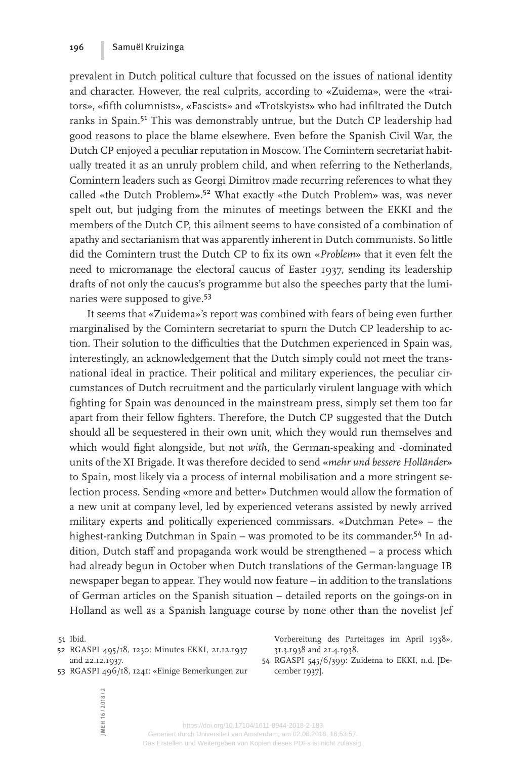prevalent in Dutch political culture that focussed on the issues of national identity and character. However, the real culprits, according to «Zuidema», were the «traitors», «fifth columnists», «Fascists» and «Trotskyists» who had infiltrated the Dutch ranks in Spain.<sup>51</sup> This was demonstrably untrue, but the Dutch CP leadership had good reasons to place the blame elsewhere. Even before the Spanish Civil War, the Dutch CP enjoyed a peculiar reputation in Moscow. The Comintern secretariat habitually treated it as an unruly problem child, and when referring to the Netherlands, Comintern leaders such as Georgi Dimitrov made recurring references to what they called «the Dutch Problem».<sup>52</sup> What exactly «the Dutch Problem» was, was never spelt out, but judging from the minutes of meetings between the EKKI and the members of the Dutch CP, this ailment seems to have consisted of a combination of apathy and sectarianism that was apparently inherent in Dutch communists. So little did the Comintern trust the Dutch CP to fix its own «*Problem*» that it even felt the need to micromanage the electoral caucus of Easter 1937, sending its leadership drafts of not only the caucus's programme but also the speeches party that the luminaries were supposed to give.<sup>53</sup>

It seems that «Zuidema»'s report was combined with fears of being even further marginalised by the Comintern secretariat to spurn the Dutch CP leadership to action. Their solution to the difficulties that the Dutchmen experienced in Spain was, interestingly, an acknowledgement that the Dutch simply could not meet the transnational ideal in practice. Their political and military experiences, the peculiar circumstances of Dutch recruitment and the particularly virulent language with which fighting for Spain was denounced in the mainstream press, simply set them too far apart from their fellow fighters. Therefore, the Dutch CP suggested that the Dutch should all be sequestered in their own unit, which they would run themselves and which would fight alongside, but not *with*, the German-speaking and -dominated units of the XI Brigade. It was therefore decided to send «*mehr und bessere Holländer*» to Spain, most likely via a process of internal mobilisation and a more stringent selection process. Sending «more and better» Dutchmen would allow the formation of a new unit at company level, led by experienced veterans assisted by newly arrived military experts and politically experienced commissars. «Dutchman Pete» – the highest-ranking Dutchman in Spain – was promoted to be its commander.<sup>54</sup> In addition, Dutch staff and propaganda work would be strengthened – a process which had already begun in October when Dutch translations of the German-language IB newspaper began to appear. They would now feature – in addition to the translations of German articles on the Spanish situation – detailed reports on the goings-on in Holland as well as a Spanish language course by none other than the novelist Jef

51 Ibid.

**JMEH 16 / 2018 / 2**

IMEH 16 / 2018 / 2

- 52 RGASPI 495/18, 1230: Minutes EKKI, 21.12.1937 and 22.12.1937.
- 53 RGASPI 496/18, 1241: «Einige Bemerkungen zur

Vorbereitung des Parteitages im April 1938», 31.3.1938 and 21.4.1938.

54 RGASPI 545/6/399: Zuidema to EKKI, n.d. [December 1937].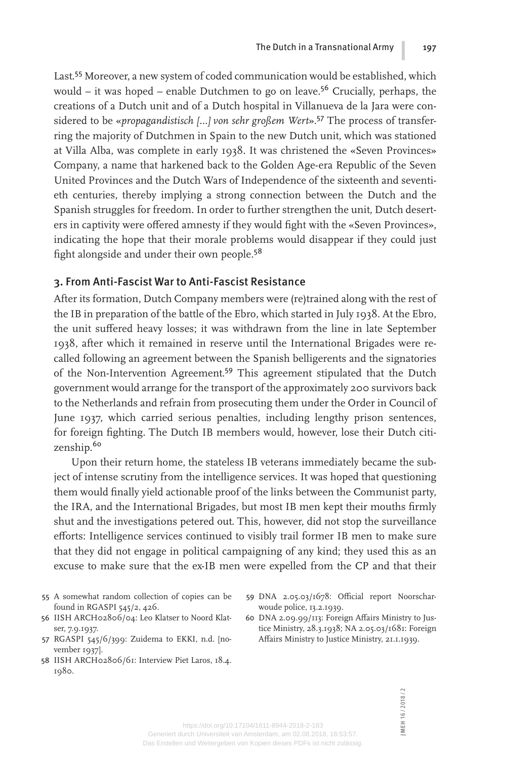Last.55 Moreover, a new system of coded communication would be established, which would – it was hoped – enable Dutchmen to go on leave.<sup>56</sup> Crucially, perhaps, the creations of a Dutch unit and of a Dutch hospital in Villanueva de la Jara were considered to be «*propagandistisch […] von sehr großem Wert*».57 The process of transferring the majority of Dutchmen in Spain to the new Dutch unit, which was stationed at Villa Alba, was complete in early 1938. It was christened the «Seven Provinces» Company, a name that harkened back to the Golden Age-era Republic of the Seven United Provinces and the Dutch Wars of Independence of the sixteenth and seventieth centuries, thereby implying a strong connection between the Dutch and the Spanish struggles for freedom. In order to further strengthen the unit, Dutch deserters in captivity were offered amnesty if they would fight with the «Seven Provinces», indicating the hope that their morale problems would disappear if they could just fight alongside and under their own people.<sup>58</sup>

# 3. From Anti-Fascist War to Anti-Fascist Resistance

After its formation, Dutch Company members were (re)trained along with the rest of the IB in preparation of the battle of the Ebro, which started in July 1938. At the Ebro, the unit suffered heavy losses; it was withdrawn from the line in late September 1938, after which it remained in reserve until the International Brigades were recalled following an agreement between the Spanish belligerents and the signatories of the Non-Intervention Agreement.59 This agreement stipulated that the Dutch government would arrange for the transport of the approximately 200 survivors back to the Netherlands and refrain from prosecuting them under the Order in Council of June 1937, which carried serious penalties, including lengthy prison sentences, for foreign fighting. The Dutch IB members would, however, lose their Dutch citizenship.<sup>60</sup>

Upon their return home, the stateless IB veterans immediately became the subject of intense scrutiny from the intelligence services. It was hoped that questioning them would finally yield actionable proof of the links between the Communist party, the IRA, and the International Brigades, but most IB men kept their mouths firmly shut and the investigations petered out. This, however, did not stop the surveillance efforts: Intelligence services continued to visibly trail former IB men to make sure that they did not engage in political campaigning of any kind; they used this as an excuse to make sure that the ex-IB men were expelled from the CP and that their

- 55 A somewhat random collection of copies can be found in RGASPI 545/2, 426.
- 56 IISH ARCH02806/04: Leo Klatser to Noord Klatser, 7.9.1937.
- 57 RGASPI 545/6/399: Zuidema to EKKI, n.d. [november 1937].
- 58 IISH ARCH02806/61: Interview Piet Laros, 18.4. 1980.
- 59 DNA 2.05.03/1678: Official report Noorscharwoude police, 13.2.1939.
- 60 DNA 2.09.99/113: Foreign Affairs Ministry to Justice Ministry, 28.3.1938; NA 2.05.03/1681: Foreign Affairs Ministry to Justice Ministry, 21.1.1939.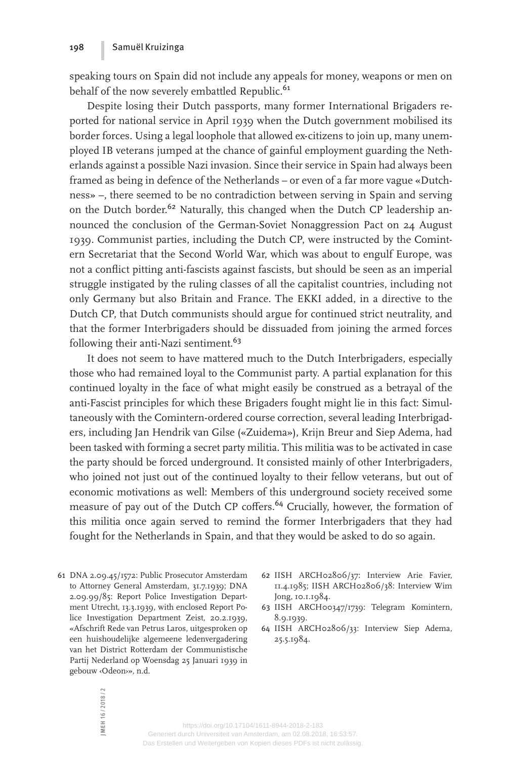speaking tours on Spain did not include any appeals for money, weapons or men on behalf of the now severely embattled Republic.<sup>61</sup>

Despite losing their Dutch passports, many former International Brigaders reported for national service in April 1939 when the Dutch government mobilised its border forces. Using a legal loophole that allowed ex-citizens to join up, many unemployed IB veterans jumped at the chance of gainful employment guarding the Netherlands against a possible Nazi invasion. Since their service in Spain had always been framed as being in defence of the Netherlands – or even of a far more vague «Dutchness» –, there seemed to be no contradiction between serving in Spain and serving on the Dutch border.<sup>62</sup> Naturally, this changed when the Dutch CP leadership announced the conclusion of the German-Soviet Nonaggression Pact on 24 August 1939. Communist parties, including the Dutch CP, were instructed by the Comintern Secretariat that the Second World War, which was about to engulf Europe, was not a conflict pitting anti-fascists against fascists, but should be seen as an imperial struggle instigated by the ruling classes of all the capitalist countries, including not only Germany but also Britain and France. The EKKI added, in a directive to the Dutch CP, that Dutch communists should argue for continued strict neutrality, and that the former Interbrigaders should be dissuaded from joining the armed forces following their anti-Nazi sentiment.<sup>63</sup>

It does not seem to have mattered much to the Dutch Interbrigaders, especially those who had remained loyal to the Communist party. A partial explanation for this continued loyalty in the face of what might easily be construed as a betrayal of the anti-Fascist principles for which these Brigaders fought might lie in this fact: Simultaneously with the Comintern-ordered course correction, several leading Interbrigaders, including Jan Hendrik van Gilse («Zuidema»), Krijn Breur and Siep Adema, had been tasked with forming a secret party militia. This militia was to be activated in case the party should be forced underground. It consisted mainly of other Interbrigaders, who joined not just out of the continued loyalty to their fellow veterans, but out of economic motivations as well: Members of this underground society received some measure of pay out of the Dutch CP coffers.<sup>64</sup> Crucially, however, the formation of this militia once again served to remind the former Interbrigaders that they had fought for the Netherlands in Spain, and that they would be asked to do so again.

- 62 IISH ARCH02806/37: Interview Arie Favier, 11.4.1985; IISH ARCH02806/38: Interview Wim Jong, 10.1.1984.
- 63 IISH ARCH00347/1739: Telegram Komintern, 8.9.1939.
- 64 IISH ARCH02806/33: Interview Siep Adema, 25.5.1984.

<sup>61</sup> DNA 2.09.45/1572: Public Prosecutor Amsterdam to Attorney General Amsterdam, 31.7.1939; DNA 2.09.99/85: Report Police Investigation Department Utrecht, 13.3.1939, with enclosed Report Police Investigation Department Zeist, 20.2.1939, «Afschrift Rede van Petrus Laros, uitgesproken op een huishoudelijke algemeene ledenvergadering van het District Rotterdam der Communistische Partij Nederland op Woensdag 25 Januari 1939 in gebouw ‹Odeon›», n.d.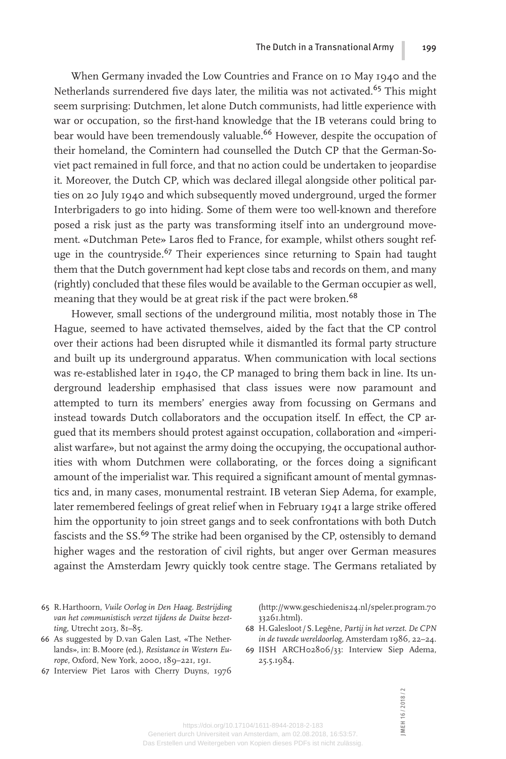When Germany invaded the Low Countries and France on 10 May 1940 and the Netherlands surrendered five days later, the militia was not activated.<sup>65</sup> This might seem surprising: Dutchmen, let alone Dutch communists, had little experience with war or occupation, so the first-hand knowledge that the IB veterans could bring to bear would have been tremendously valuable.<sup>66</sup> However, despite the occupation of their homeland, the Comintern had counselled the Dutch CP that the German-Soviet pact remained in full force, and that no action could be undertaken to jeopardise it. Moreover, the Dutch CP, which was declared illegal alongside other political parties on 20 July 1940 and which subsequently moved underground, urged the former Interbrigaders to go into hiding. Some of them were too well-known and therefore posed a risk just as the party was transforming itself into an underground movement. «Dutchman Pete» Laros fled to France, for example, whilst others sought refuge in the countryside.<sup>67</sup> Their experiences since returning to Spain had taught them that the Dutch government had kept close tabs and records on them, and many (rightly) concluded that these files would be available to the German occupier as well, meaning that they would be at great risk if the pact were broken.<sup>68</sup>

However, small sections of the underground militia, most notably those in The Hague, seemed to have activated themselves, aided by the fact that the CP control over their actions had been disrupted while it dismantled its formal party structure and built up its underground apparatus. When communication with local sections was re-established later in 1940, the CP managed to bring them back in line. Its underground leadership emphasised that class issues were now paramount and attempted to turn its members' energies away from focussing on Germans and instead towards Dutch collaborators and the occupation itself. In effect, the CP argued that its members should protest against occupation, collaboration and «imperialist warfare», but not against the army doing the occupying, the occupational authorities with whom Dutchmen were collaborating, or the forces doing a significant amount of the imperialist war. This required a significant amount of mental gymnastics and, in many cases, monumental restraint. IB veteran Siep Adema, for example, later remembered feelings of great relief when in February 1941 a large strike offered him the opportunity to join street gangs and to seek confrontations with both Dutch fascists and the SS.<sup>69</sup> The strike had been organised by the CP, ostensibly to demand higher wages and the restoration of civil rights, but anger over German measures against the Amsterdam Jewry quickly took centre stage. The Germans retaliated by

65 R. Harthoorn, *Vuile Oorlog in Den Haag. Bestrijding van het communistisch verzet tijdens de Duitse bezetting*, Utrecht 2013, 81–85.

- 66 As suggested by D. van Galen Last, «The Netherlands», in: B. Moore (ed.), *Resistance in Western Europe*, Oxford, New York, 2000, 189–221, 191.
- 67 Interview Piet Laros with Cherry Duyns, 1976

(http://www.geschiedenis24.nl/speler.program.70 33261.html).

- 68 H. Galesloot /S. Legêne, *Partij in het verzet. De CPN in de tweede wereldoorlog*, Amsterdam 1986, 22–24.
- 69 IISH ARCH02806/33: Interview Siep Adema, 25.5.1984.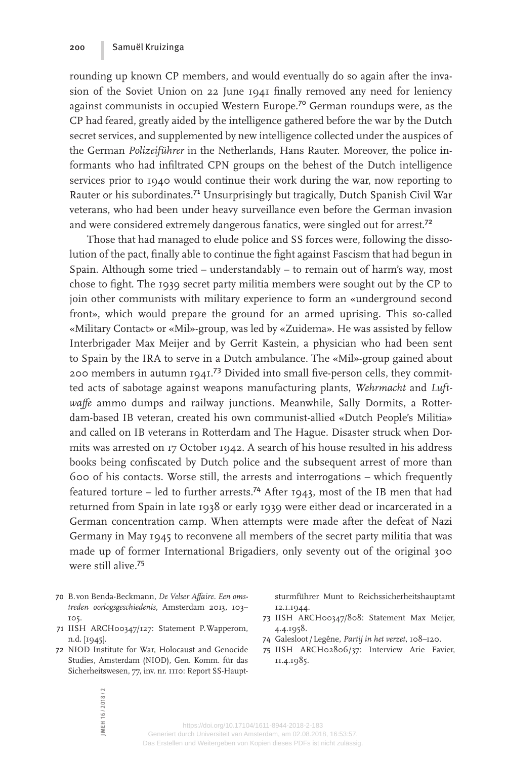rounding up known CP members, and would eventually do so again after the invasion of the Soviet Union on 22 June 1941 finally removed any need for leniency against communists in occupied Western Europe.<sup>70</sup> German roundups were, as the CP had feared, greatly aided by the intelligence gathered before the war by the Dutch secret services, and supplemented by new intelligence collected under the auspices of the German *Polizeiführer* in the Netherlands, Hans Rauter. Moreover, the police informants who had infiltrated CPN groups on the behest of the Dutch intelligence services prior to 1940 would continue their work during the war, now reporting to Rauter or his subordinates.71 Unsurprisingly but tragically, Dutch Spanish Civil War veterans, who had been under heavy surveillance even before the German invasion and were considered extremely dangerous fanatics, were singled out for arrest.<sup>72</sup>

Those that had managed to elude police and SS forces were, following the dissolution of the pact, finally able to continue the fight against Fascism that had begun in Spain. Although some tried – understandably – to remain out of harm's way, most chose to fight. The 1939 secret party militia members were sought out by the CP to join other communists with military experience to form an «underground second front», which would prepare the ground for an armed uprising. This so-called «Military Contact» or «Mil»-group, was led by «Zuidema». He was assisted by fellow Interbrigader Max Meijer and by Gerrit Kastein, a physician who had been sent to Spain by the IRA to serve in a Dutch ambulance. The «Mil»-group gained about 200 members in autumn  $1941.<sup>73</sup>$  Divided into small five-person cells, they committed acts of sabotage against weapons manufacturing plants, *Wehrmacht* and *Luftwaffe* ammo dumps and railway junctions. Meanwhile, Sally Dormits, a Rotterdam-based IB veteran, created his own communist-allied «Dutch People's Militia» and called on IB veterans in Rotterdam and The Hague. Disaster struck when Dormits was arrested on 17 October 1942. A search of his house resulted in his address books being confiscated by Dutch police and the subsequent arrest of more than 600 of his contacts. Worse still, the arrests and interrogations – which frequently featured torture – led to further arrests.<sup>74</sup> After 1943, most of the IB men that had returned from Spain in late 1938 or early 1939 were either dead or incarcerated in a German concentration camp. When attempts were made after the defeat of Nazi Germany in May 1945 to reconvene all members of the secret party militia that was made up of former International Brigadiers, only seventy out of the original 300 were still alive.<sup>75</sup>

- 70 B. von Benda-Beckmann, *De Velser Affaire. Een omstreden oorlogsgeschiedenis*, Amsterdam 2013, 103– 105.
- 71 IISH ARCH00347/127: Statement P. Wapperom, n.d. [1945].
- 72 NIOD Institute for War, Holocaust and Genocide Studies, Amsterdam (NIOD), Gen. Komm. für das Sicherheitswesen, 77, inv. nr. 1110: Report SS-Haupt-

**JMEH 16 / 2018 / 2**

MEH 16 / 2018 / 2

sturmführer Munt to Reichssicherheitshauptamt 12.1.1944.

- 73 IISH ARCH00347/808: Statement Max Meijer, 4.4.1958.
- 74 Galesloot /Legêne, *Partij in het verzet*, 108–120.
- 75 IISH ARCH02806/37: Interview Arie Favier, 11.4.1985.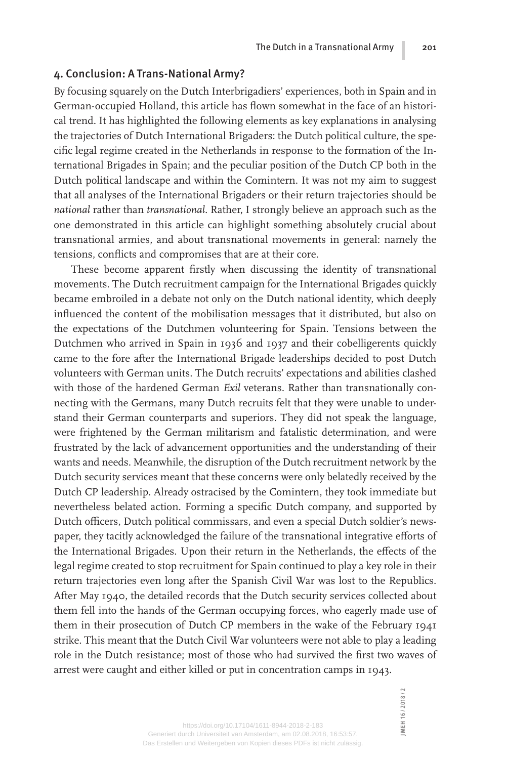#### 4. Conclusion: A Trans-National Army?

By focusing squarely on the Dutch Interbrigadiers' experiences, both in Spain and in German-occupied Holland, this article has flown somewhat in the face of an historical trend. It has highlighted the following elements as key explanations in analysing the trajectories of Dutch International Brigaders: the Dutch political culture, the specific legal regime created in the Netherlands in response to the formation of the International Brigades in Spain; and the peculiar position of the Dutch CP both in the Dutch political landscape and within the Comintern. It was not my aim to suggest that all analyses of the International Brigaders or their return trajectories should be *national* rather than *transnational*. Rather, I strongly believe an approach such as the one demonstrated in this article can highlight something absolutely crucial about transnational armies, and about transnational movements in general: namely the tensions, conflicts and compromises that are at their core.

These become apparent firstly when discussing the identity of transnational movements. The Dutch recruitment campaign for the International Brigades quickly became embroiled in a debate not only on the Dutch national identity, which deeply influenced the content of the mobilisation messages that it distributed, but also on the expectations of the Dutchmen volunteering for Spain. Tensions between the Dutchmen who arrived in Spain in 1936 and 1937 and their cobelligerents quickly came to the fore after the International Brigade leaderships decided to post Dutch volunteers with German units. The Dutch recruits' expectations and abilities clashed with those of the hardened German *Exil* veterans. Rather than transnationally connecting with the Germans, many Dutch recruits felt that they were unable to understand their German counterparts and superiors. They did not speak the language, were frightened by the German militarism and fatalistic determination, and were frustrated by the lack of advancement opportunities and the understanding of their wants and needs. Meanwhile, the disruption of the Dutch recruitment network by the Dutch security services meant that these concerns were only belatedly received by the Dutch CP leadership. Already ostracised by the Comintern, they took immediate but nevertheless belated action. Forming a specific Dutch company, and supported by Dutch officers, Dutch political commissars, and even a special Dutch soldier's newspaper, they tacitly acknowledged the failure of the transnational integrative efforts of the International Brigades. Upon their return in the Netherlands, the effects of the legal regime created to stop recruitment for Spain continued to play a key role in their return trajectories even long after the Spanish Civil War was lost to the Republics. After May 1940, the detailed records that the Dutch security services collected about them fell into the hands of the German occupying forces, who eagerly made use of them in their prosecution of Dutch CP members in the wake of the February 1941 strike. This meant that the Dutch Civil War volunteers were not able to play a leading role in the Dutch resistance; most of those who had survived the first two waves of arrest were caught and either killed or put in concentration camps in 1943.

JMEH 16 / 2018 / 2 **JMEH 16 / 2018 / 2**